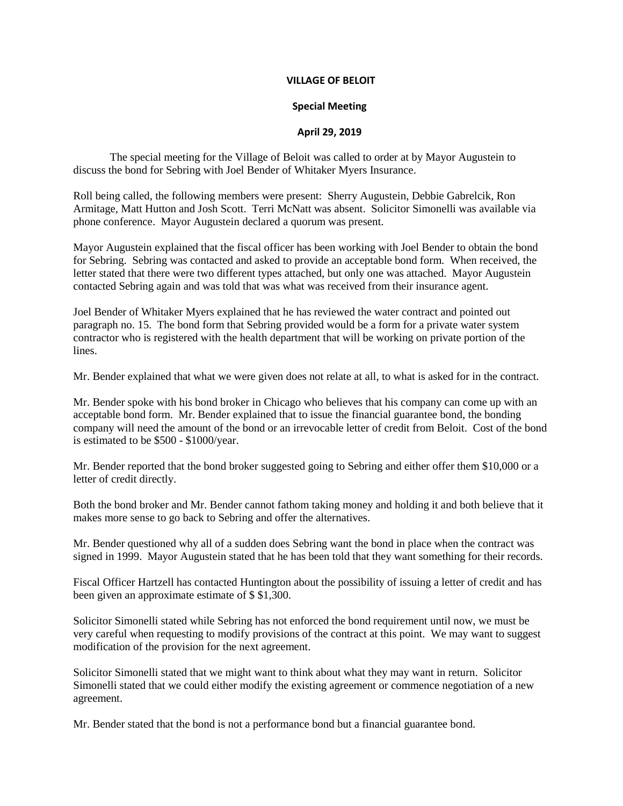## **VILLAGE OF BELOIT**

## **Special Meeting**

## **April 29, 2019**

The special meeting for the Village of Beloit was called to order at by Mayor Augustein to discuss the bond for Sebring with Joel Bender of Whitaker Myers Insurance.

Roll being called, the following members were present: Sherry Augustein, Debbie Gabrelcik, Ron Armitage, Matt Hutton and Josh Scott. Terri McNatt was absent. Solicitor Simonelli was available via phone conference. Mayor Augustein declared a quorum was present.

Mayor Augustein explained that the fiscal officer has been working with Joel Bender to obtain the bond for Sebring. Sebring was contacted and asked to provide an acceptable bond form. When received, the letter stated that there were two different types attached, but only one was attached. Mayor Augustein contacted Sebring again and was told that was what was received from their insurance agent.

Joel Bender of Whitaker Myers explained that he has reviewed the water contract and pointed out paragraph no. 15. The bond form that Sebring provided would be a form for a private water system contractor who is registered with the health department that will be working on private portion of the lines.

Mr. Bender explained that what we were given does not relate at all, to what is asked for in the contract.

Mr. Bender spoke with his bond broker in Chicago who believes that his company can come up with an acceptable bond form. Mr. Bender explained that to issue the financial guarantee bond, the bonding company will need the amount of the bond or an irrevocable letter of credit from Beloit. Cost of the bond is estimated to be \$500 - \$1000/year.

Mr. Bender reported that the bond broker suggested going to Sebring and either offer them \$10,000 or a letter of credit directly.

Both the bond broker and Mr. Bender cannot fathom taking money and holding it and both believe that it makes more sense to go back to Sebring and offer the alternatives.

Mr. Bender questioned why all of a sudden does Sebring want the bond in place when the contract was signed in 1999. Mayor Augustein stated that he has been told that they want something for their records.

Fiscal Officer Hartzell has contacted Huntington about the possibility of issuing a letter of credit and has been given an approximate estimate of \$ \$1,300.

Solicitor Simonelli stated while Sebring has not enforced the bond requirement until now, we must be very careful when requesting to modify provisions of the contract at this point. We may want to suggest modification of the provision for the next agreement.

Solicitor Simonelli stated that we might want to think about what they may want in return. Solicitor Simonelli stated that we could either modify the existing agreement or commence negotiation of a new agreement.

Mr. Bender stated that the bond is not a performance bond but a financial guarantee bond.